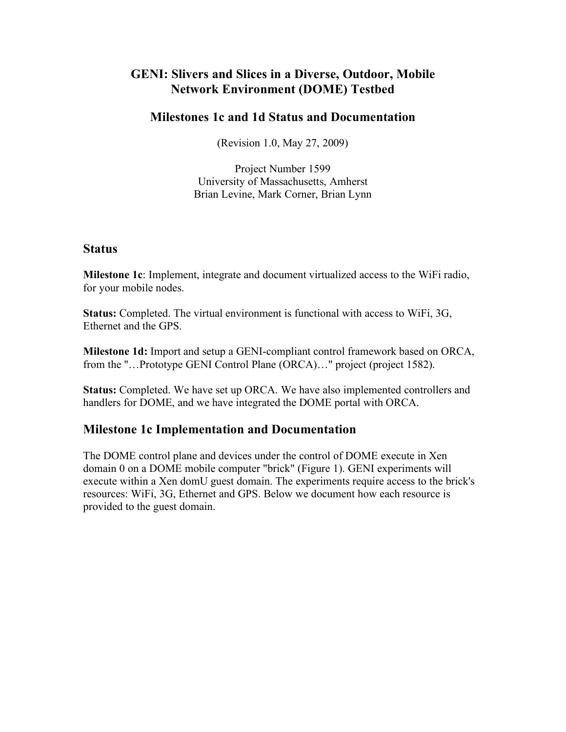# **GENI: Slivers and Slices in a Diverse, Outdoor, Mobile Network Environment (DOME) Testbed**

## **Milestones 1c and 1d Status and Documentation**

(Revision 1.0, May 27, 2009)

Project Number 1599 University of Massachusetts, Amherst Brian Levine, Mark Corner, Brian Lynn

### **Status**

**Milestone 1c**: Implement, integrate and document virtualized access to the WiFi radio, for your mobile nodes.

**Status:** Completed. The virtual environment is functional with access to WiFi, 3G, Ethernet and the GPS.

**Milestone 1d:** Import and setup a GENI-compliant control framework based on ORCA, from the "…Prototype GENI Control Plane (ORCA)…" project (project 1582).

**Status:** Completed. We have set up ORCA. We have also implemented controllers and handlers for DOME, and we have integrated the DOME portal with ORCA.

# **Milestone 1c Implementation and Documentation**

The DOME control plane and devices under the control of DOME execute in Xen domain 0 on a DOME mobile computer "brick" (Figure 1). GENI experiments will execute within a Xen domU guest domain. The experiments require access to the brick's resources: WiFi, 3G, Ethernet and GPS. Below we document how each resource is provided to the guest domain.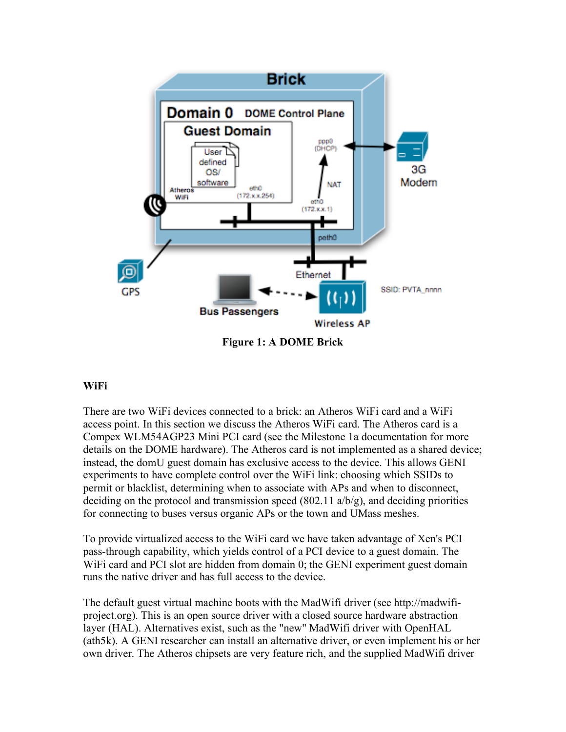

**Figure 1: A DOME Brick**

#### **WiFi**

There are two WiFi devices connected to a brick: an Atheros WiFi card and a WiFi access point. In this section we discuss the Atheros WiFi card. The Atheros card is a Compex WLM54AGP23 Mini PCI card (see the Milestone 1a documentation for more details on the DOME hardware). The Atheros card is not implemented as a shared device; instead, the domU guest domain has exclusive access to the device. This allows GENI experiments to have complete control over the WiFi link: choosing which SSIDs to permit or blacklist, determining when to associate with APs and when to disconnect, deciding on the protocol and transmission speed  $(802.11 \text{ a}/b/g)$ , and deciding priorities for connecting to buses versus organic APs or the town and UMass meshes.

To provide virtualized access to the WiFi card we have taken advantage of Xen's PCI pass-through capability, which yields control of a PCI device to a guest domain. The W<sub>iFi</sub> card and PCI slot are hidden from domain 0; the GENI experiment guest domain runs the native driver and has full access to the device.

The default guest virtual machine boots with the MadWifi driver (see http://madwifiproject.org). This is an open source driver with a closed source hardware abstraction layer (HAL). Alternatives exist, such as the "new" MadWifi driver with OpenHAL (ath5k). A GENI researcher can install an alternative driver, or even implement his or her own driver. The Atheros chipsets are very feature rich, and the supplied MadWifi driver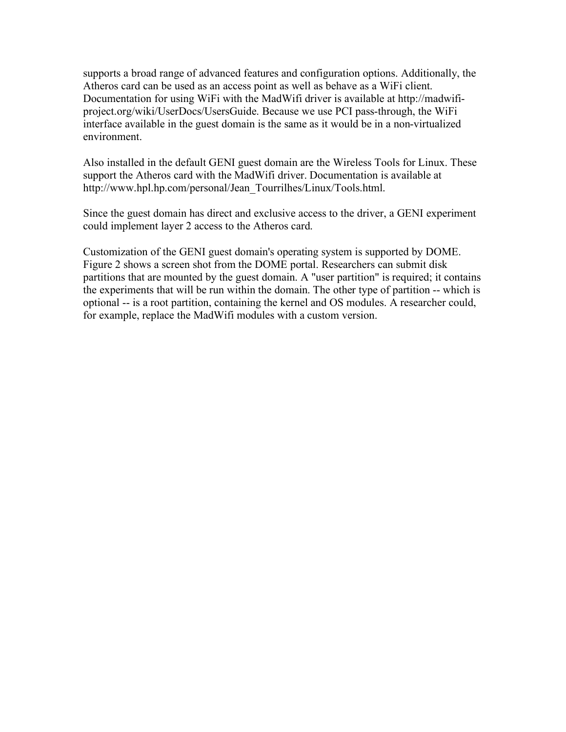supports a broad range of advanced features and configuration options. Additionally, the Atheros card can be used as an access point as well as behave as a WiFi client. Documentation for using WiFi with the MadWifi driver is available at http://madwifiproject.org/wiki/UserDocs/UsersGuide. Because we use PCI pass-through, the WiFi interface available in the guest domain is the same as it would be in a non-virtualized environment.

Also installed in the default GENI guest domain are the Wireless Tools for Linux. These support the Atheros card with the MadWifi driver. Documentation is available at http://www.hpl.hp.com/personal/Jean\_Tourrilhes/Linux/Tools.html.

Since the guest domain has direct and exclusive access to the driver, a GENI experiment could implement layer 2 access to the Atheros card.

Customization of the GENI guest domain's operating system is supported by DOME. Figure 2 shows a screen shot from the DOME portal. Researchers can submit disk partitions that are mounted by the guest domain. A "user partition" is required; it contains the experiments that will be run within the domain. The other type of partition -- which is optional -- is a root partition, containing the kernel and OS modules. A researcher could, for example, replace the MadWifi modules with a custom version.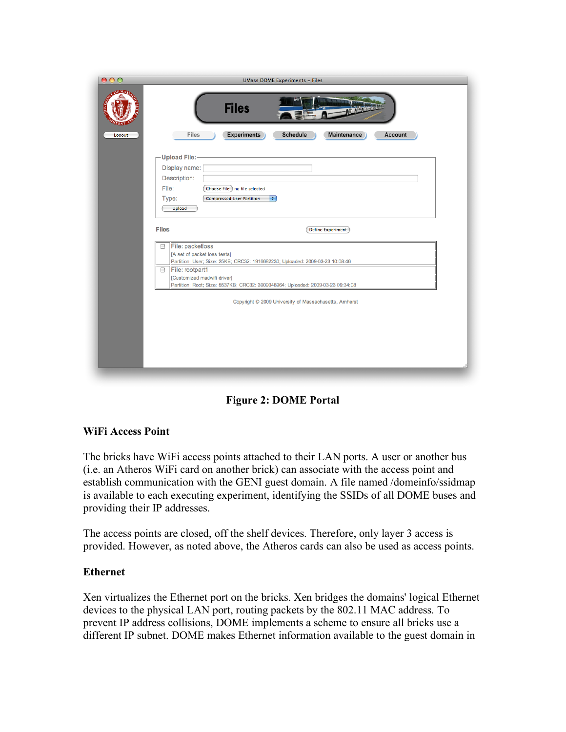| 000                    | <b>UMass DOME Experiments - Files</b>                                                                                                  |
|------------------------|----------------------------------------------------------------------------------------------------------------------------------------|
| <b>STOP MA</b><br>TUPP | <b>Files</b>                                                                                                                           |
| Logout                 | Files<br><b>Experiments</b><br><b>Maintenance</b><br><b>Schedule</b><br>Account                                                        |
|                        | <b>Upload File:-</b>                                                                                                                   |
|                        | Display name:                                                                                                                          |
|                        | Description:<br>File:<br>Choose File no file selected                                                                                  |
|                        | Type:<br><b>Compressed User Partition</b><br>÷                                                                                         |
|                        | Upload                                                                                                                                 |
|                        | <b>Files</b><br><b>Define Experiment</b>                                                                                               |
|                        | File: packetloss<br>8<br>[A set of packet loss tests]<br>Partition: User; Size: 25KB; CRC32: 1916682230; Uploaded: 2009-03-23 10:08:46 |
|                        | File: rootpart1<br>⊟<br>[Customized madwifi driver]<br>Partition: Root; Size: 5537KB; CRC32: 3909048964; Uploaded: 2009-03-23 09:34:08 |
|                        | Copyright © 2009 University of Massachusetts, Amherst                                                                                  |
|                        |                                                                                                                                        |
|                        |                                                                                                                                        |
|                        |                                                                                                                                        |
|                        |                                                                                                                                        |
|                        |                                                                                                                                        |



#### **WiFi Access Point**

The bricks have WiFi access points attached to their LAN ports. A user or another bus (i.e. an Atheros WiFi card on another brick) can associate with the access point and establish communication with the GENI guest domain. A file named /domeinfo/ssidmap is available to each executing experiment, identifying the SSIDs of all DOME buses and providing their IP addresses.

The access points are closed, off the shelf devices. Therefore, only layer 3 access is provided. However, as noted above, the Atheros cards can also be used as access points.

#### **Ethernet**

Xen virtualizes the Ethernet port on the bricks. Xen bridges the domains' logical Ethernet devices to the physical LAN port, routing packets by the 802.11 MAC address. To prevent IP address collisions, DOME implements a scheme to ensure all bricks use a different IP subnet. DOME makes Ethernet information available to the guest domain in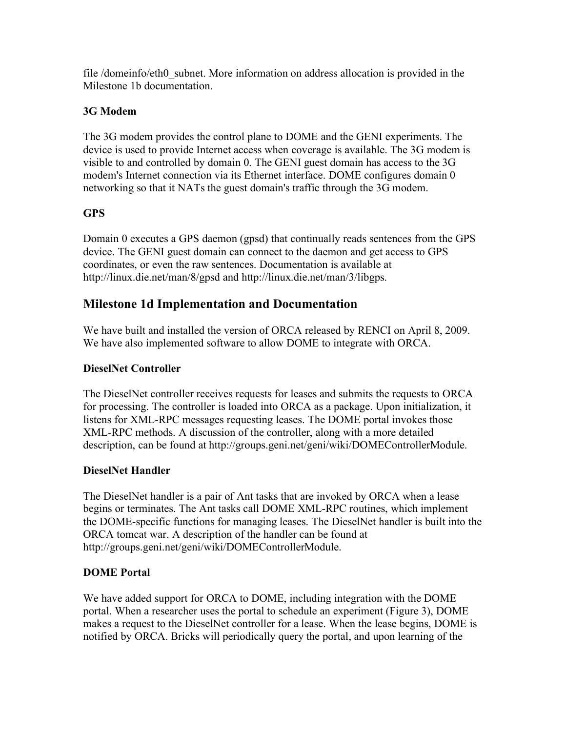file /domeinfo/eth0\_subnet. More information on address allocation is provided in the Milestone 1b documentation.

### **3G Modem**

The 3G modem provides the control plane to DOME and the GENI experiments. The device is used to provide Internet access when coverage is available. The 3G modem is visible to and controlled by domain 0. The GENI guest domain has access to the 3G modem's Internet connection via its Ethernet interface. DOME configures domain 0 networking so that it NATs the guest domain's traffic through the 3G modem.

# **GPS**

Domain 0 executes a GPS daemon (gpsd) that continually reads sentences from the GPS device. The GENI guest domain can connect to the daemon and get access to GPS coordinates, or even the raw sentences. Documentation is available at http://linux.die.net/man/8/gpsd and http://linux.die.net/man/3/libgps.

# **Milestone 1d Implementation and Documentation**

We have built and installed the version of ORCA released by RENCI on April 8, 2009. We have also implemented software to allow DOME to integrate with ORCA.

### **DieselNet Controller**

The DieselNet controller receives requests for leases and submits the requests to ORCA for processing. The controller is loaded into ORCA as a package. Upon initialization, it listens for XML-RPC messages requesting leases. The DOME portal invokes those XML-RPC methods. A discussion of the controller, along with a more detailed description, can be found at http://groups.geni.net/geni/wiki/DOMEControllerModule.

## **DieselNet Handler**

The DieselNet handler is a pair of Ant tasks that are invoked by ORCA when a lease begins or terminates. The Ant tasks call DOME XML-RPC routines, which implement the DOME-specific functions for managing leases. The DieselNet handler is built into the ORCA tomcat war. A description of the handler can be found at http://groups.geni.net/geni/wiki/DOMEControllerModule.

## **DOME Portal**

We have added support for ORCA to DOME, including integration with the DOME portal. When a researcher uses the portal to schedule an experiment (Figure 3), DOME makes a request to the DieselNet controller for a lease. When the lease begins, DOME is notified by ORCA. Bricks will periodically query the portal, and upon learning of the